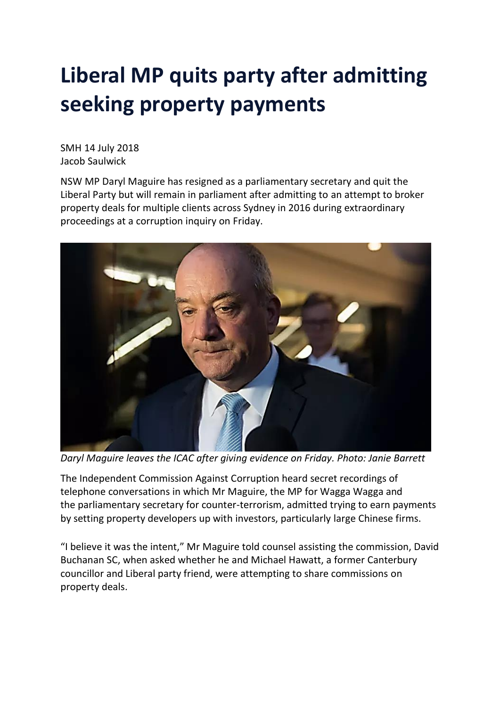## **Liberal MP quits party after admitting seeking property payments**

SMH 14 July 2018 Jacob Saulwick

NSW MP Daryl Maguire has resigned as a parliamentary secretary and quit the Liberal Party but will remain in parliament after admitting to an attempt to broker property deals for multiple clients across Sydney in 2016 during extraordinary proceedings at a corruption inquiry on Friday.



*Daryl Maguire leaves the ICAC after giving evidence on Friday. Photo: Janie Barrett*

The Independent Commission Against Corruption heard secret recordings of telephone conversations in which Mr Maguire, the MP for Wagga Wagga and the parliamentary secretary for counter-terrorism, admitted trying to earn payments by setting property developers up with investors, particularly large Chinese firms.

"I believe it was the intent," Mr Maguire told counsel assisting the commission, David Buchanan SC, when asked whether he and Michael Hawatt, a former Canterbury councillor and Liberal party friend, were attempting to share commissions on property deals.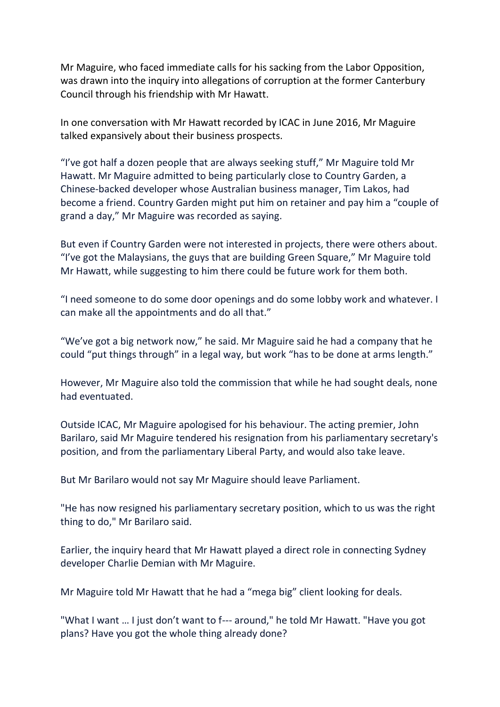Mr Maguire, who faced immediate calls for his sacking from the Labor Opposition, was drawn into the inquiry into allegations of corruption at the former Canterbury Council through his friendship with Mr Hawatt.

In one conversation with Mr Hawatt recorded by ICAC in June 2016, Mr Maguire talked expansively about their business prospects.

"I've got half a dozen people that are always seeking stuff," Mr Maguire told Mr Hawatt. Mr Maguire admitted to being particularly close to Country Garden, a Chinese-backed developer whose Australian business manager, Tim Lakos, had become a friend. Country Garden might put him on retainer and pay him a "couple of grand a day," Mr Maguire was recorded as saying.

But even if Country Garden were not interested in projects, there were others about. "I've got the Malaysians, the guys that are building Green Square," Mr Maguire told Mr Hawatt, while suggesting to him there could be future work for them both.

"I need someone to do some door openings and do some lobby work and whatever. I can make all the appointments and do all that."

"We've got a big network now," he said. Mr Maguire said he had a company that he could "put things through" in a legal way, but work "has to be done at arms length."

However, Mr Maguire also told the commission that while he had sought deals, none had eventuated.

Outside ICAC, Mr Maguire apologised for his behaviour. The acting premier, John Barilaro, said Mr Maguire tendered his resignation from his parliamentary secretary's position, and from the parliamentary Liberal Party, and would also take leave.

But Mr Barilaro would not say Mr Maguire should leave Parliament.

"He has now resigned his parliamentary secretary position, which to us was the right thing to do," Mr Barilaro said.

Earlier, the inquiry heard that Mr Hawatt played a direct role in connecting Sydney developer Charlie Demian with Mr Maguire.

Mr Maguire told Mr Hawatt that he had a "mega big" client looking for deals.

"What I want … I just don't want to f--- around," he told Mr Hawatt. "Have you got plans? Have you got the whole thing already done?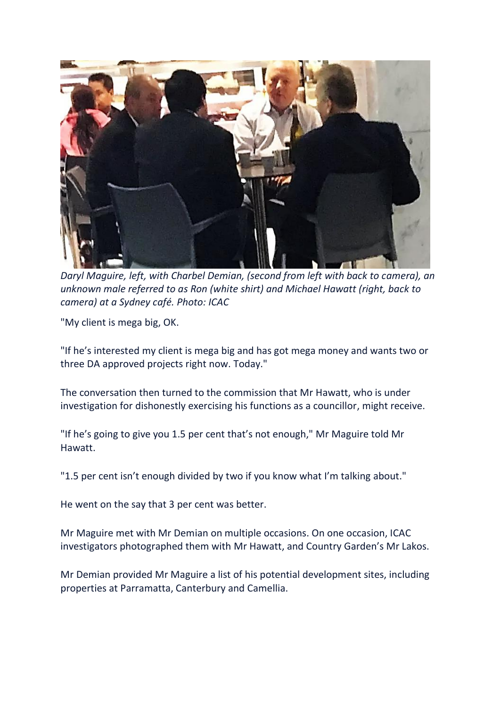

*Daryl Maguire, left, with Charbel Demian, (second from left with back to camera), an unknown male referred to as Ron (white shirt) and Michael Hawatt (right, back to camera) at a Sydney café. Photo: ICAC*

"My client is mega big, OK.

"If he's interested my client is mega big and has got mega money and wants two or three DA approved projects right now. Today."

The conversation then turned to the commission that Mr Hawatt, who is under investigation for dishonestly exercising his functions as a councillor, might receive.

"If he's going to give you 1.5 per cent that's not enough," Mr Maguire told Mr Hawatt.

"1.5 per cent isn't enough divided by two if you know what I'm talking about."

He went on the say that 3 per cent was better.

Mr Maguire met with Mr Demian on multiple occasions. On one occasion, ICAC investigators photographed them with Mr Hawatt, and Country Garden's Mr Lakos.

Mr Demian provided Mr Maguire a list of his potential development sites, including properties at Parramatta, Canterbury and Camellia.